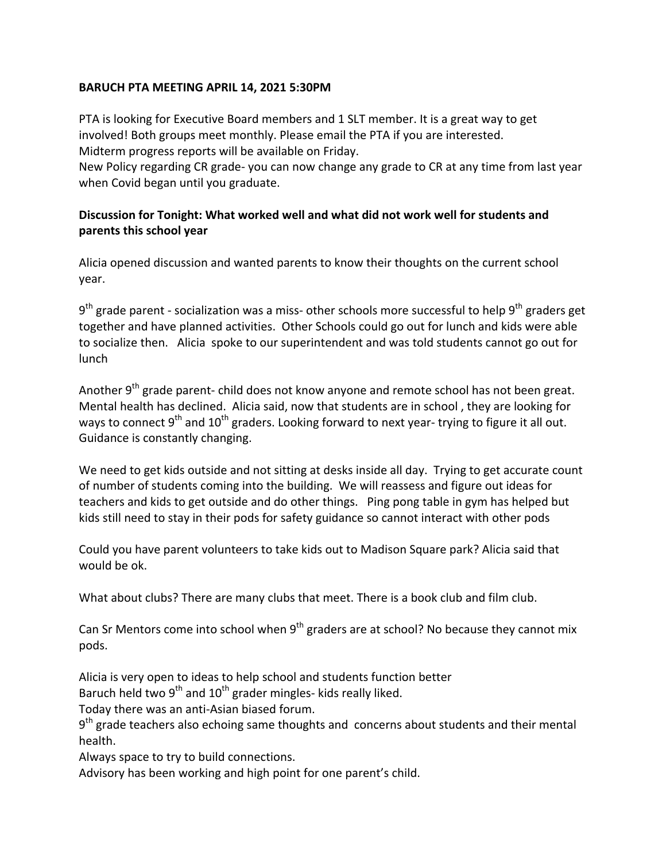## BARUCH PTA MEETING APRIL 14, 2021 5:30PM

PTA is looking for Executive Board members and 1 SLT member. It is a great way to get involved! Both groups meet monthly. Please email the PTA if you are interested. Midterm progress reports will be available on Friday.

New Policy regarding CR grade- you can now change any grade to CR at any time from last year when Covid began until you graduate.

## **Discussion for Tonight: What worked well and what did not work well for students and parents this school year**

Alicia opened discussion and wanted parents to know their thoughts on the current school year.

 $9<sup>th</sup>$  grade parent - socialization was a miss- other schools more successful to help  $9<sup>th</sup>$  graders get together and have planned activities. Other Schools could go out for lunch and kids were able to socialize then. Alicia spoke to our superintendent and was told students cannot go out for lunch

Another  $9<sup>th</sup>$  grade parent- child does not know anyone and remote school has not been great. Mental health has declined. Alicia said, now that students are in school, they are looking for ways to connect  $9<sup>th</sup>$  and  $10<sup>th</sup>$  graders. Looking forward to next year- trying to figure it all out. Guidance is constantly changing.

We need to get kids outside and not sitting at desks inside all day. Trying to get accurate count of number of students coming into the building. We will reassess and figure out ideas for teachers and kids to get outside and do other things. Ping pong table in gym has helped but kids still need to stay in their pods for safety guidance so cannot interact with other pods

Could you have parent volunteers to take kids out to Madison Square park? Alicia said that would be ok.

What about clubs? There are many clubs that meet. There is a book club and film club.

Can Sr Mentors come into school when  $9^{th}$  graders are at school? No because they cannot mix pods. 

Alicia is very open to ideas to help school and students function better

Baruch held two  $9^{th}$  and  $10^{th}$  grader mingles- kids really liked.

Today there was an anti-Asian biased forum.

 $9<sup>th</sup>$  grade teachers also echoing same thoughts and concerns about students and their mental health. 

Always space to try to build connections.

Advisory has been working and high point for one parent's child.